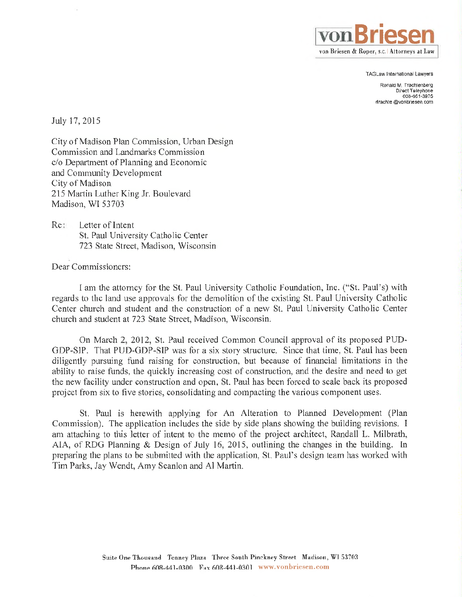

TAGLaw lnternational Lawyers

Ronald M. Trachtenberg Direct Telephone 608-661-3975 rtrachte @vonbriesen.com

July 17,2015

City of Madison Plan Commission, Urban Design Commission and Landmarks Commission c/o Department of Planning and Economic and Community Development City of Madison 215 Martin Luther King Jr. Boulevard Madison, WI 53703

Re: Letter of Intent St. Paul University Catholic Center 723 State Street, Madison, Wisconsin

Dear Commissioners:

I am the attorney for the St. Paul University Catholic Foundation, Inc. ("St. Paul's) with regards to the land use approvals for the demolition of the existing St. Paul University Catholic Center church and student and the construction of a new St. Paul University Catholic Center church and student at 723 State Street, Madison, Wisconsin.

On March 2,2012, St. Paul received Common Council approval of its proposed PUD-GDP-SIP. That PUD-GDP-SIP was for a six story structure. Since that time, St. Paul has been diligently pursuing fund raising for construction, but because of financial limitations in the ability to raise funds, the quickly increasing cost of construction, and the desire and need to get the new facility under construction and open, St. Paul has been forced to scale back its proposed project from six to five stories, consolidating and compacting the various component uses.

St. Paul is herewith applying for An Alteration to Planned Development (Plan Commission). The application includes the side by side plans showing the building revisions. I am attaching to this letter of intent to the memo of the project architect, Randall L. Milbrath, AIA, of RDG Planning & Design of July 16, 2015, outlining the changes in the building. In preparing the plans to be submitted with the application, St. Paul's design team has worked with Tim Parks, Jay Wendt, Amy Scanlon and Al Martin.